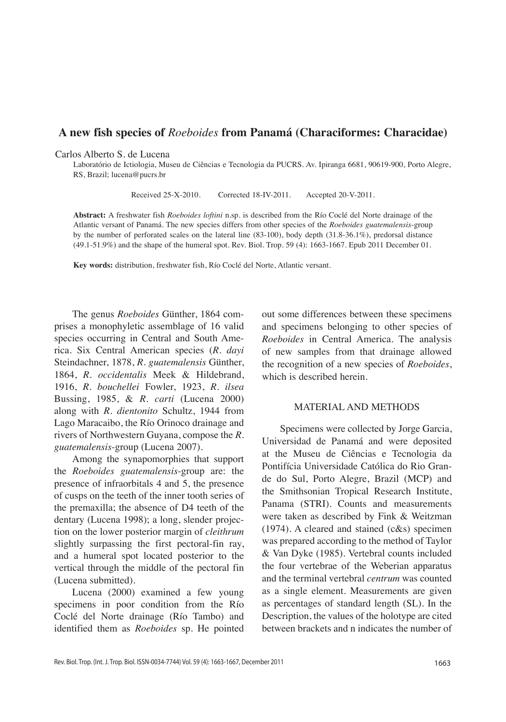# **A new fish species of** *Roeboides* **from Panamá (Characiformes: Characidae)**

#### Carlos Alberto S. de Lucena

Laboratório de Ictiologia, Museu de Ciências e Tecnologia da PUCRS. Av. Ipiranga 6681, 90619-900, Porto Alegre, RS, Brazil; lucena@pucrs.br

Received 25-X-2010. Corrected 18-IV-2011. Accepted 20-V-2011.

**Abstract:** A freshwater fish *Roeboides loftini* n.sp. is described from the Río Coclé del Norte drainage of the Atlantic versant of Panamá. The new species differs from other species of the *Roeboides guatemalensis*-group by the number of perforated scales on the lateral line (83-100), body depth (31.8-36.1%), predorsal distance (49.1-51.9%) and the shape of the humeral spot. Rev. Biol. Trop. 59 (4): 1663-1667. Epub 2011 December 01.

**Key words:** distribution, freshwater fish, Río Coclé del Norte, Atlantic versant.

The genus *Roeboides* Günther, 1864 comprises a monophyletic assemblage of 16 valid species occurring in Central and South America. Six Central American species (*R. dayi* Steindachner, 1878, *R. guatemalensis* Günther, 1864, *R. occidentalis* Meek & Hildebrand, 1916, *R. bouchellei* Fowler, 1923, *R. ilsea*  Bussing, 1985, & *R. carti* (Lucena 2000) along with *R. dientonito* Schultz, 1944 from Lago Maracaibo, the Río Orinoco drainage and rivers of Northwestern Guyana, compose the *R. guatemalensis*-group (Lucena 2007).

Among the synapomorphies that support the *Roeboides guatemalensis*-group are: the presence of infraorbitals 4 and 5, the presence of cusps on the teeth of the inner tooth series of the premaxilla; the absence of D4 teeth of the dentary (Lucena 1998); a long, slender projection on the lower posterior margin of *cleithrum*  slightly surpassing the first pectoral-fin ray, and a humeral spot located posterior to the vertical through the middle of the pectoral fin (Lucena submitted).

Lucena (2000) examined a few young specimens in poor condition from the Río Coclé del Norte drainage (Río Tambo) and identified them as *Roeboides* sp. He pointed out some differences between these specimens and specimens belonging to other species of *Roeboides* in Central America. The analysis of new samples from that drainage allowed the recognition of a new species of *Roeboides*, which is described herein.

### MATERIAL AND METHODS

Specimens were collected by Jorge Garcia, Universidad de Panamá and were deposited at the Museu de Ciências e Tecnologia da Pontifícia Universidade Católica do Rio Grande do Sul, Porto Alegre, Brazil (MCP) and the Smithsonian Tropical Research Institute, Panama (STRI). Counts and measurements were taken as described by Fink & Weitzman  $(1974)$ . A cleared and stained  $(c&s)$  specimen was prepared according to the method of Taylor & Van Dyke (1985). Vertebral counts included the four vertebrae of the Weberian apparatus and the terminal vertebral *centrum* was counted as a single element. Measurements are given as percentages of standard length (SL). In the Description, the values of the holotype are cited between brackets and n indicates the number of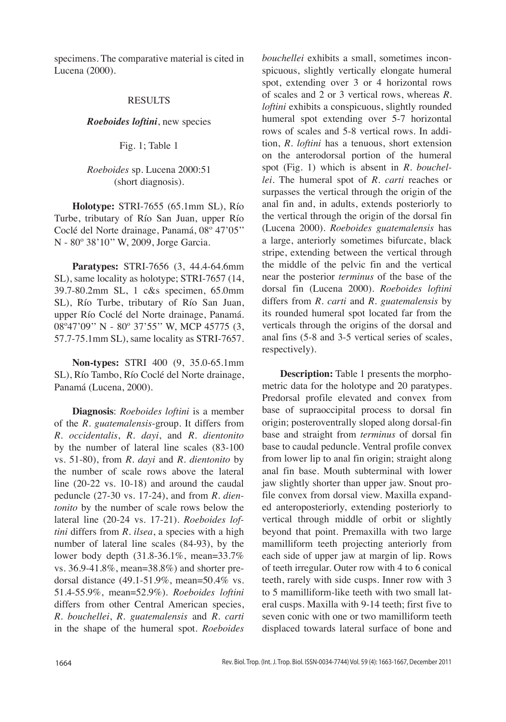specimens. The comparative material is cited in Lucena (2000).

### RESULTS

*Roeboides loftini*, new species

Fig. 1; Table 1

## *Roeboides* sp. Lucena 2000:51 (short diagnosis).

**Holotype:** STRI-7655 (65.1mm SL), Río Turbe, tributary of Río San Juan, upper Río Coclé del Norte drainage, Panamá, 08º 47'05'' N - 80º 38'10'' W, 2009, Jorge Garcia.

**Paratypes:** STRI-7656 (3, 44.4-64.6mm SL), same locality as holotype; STRI-7657 (14, 39.7-80.2mm SL, 1 c&s specimen, 65.0mm SL), Río Turbe, tributary of Río San Juan, upper Río Coclé del Norte drainage, Panamá. 08º47'09'' N - 80º 37'55'' W, MCP 45775 (3, 57.7-75.1mm SL), same locality as STRI-7657.

**Non-types:** STRI 400 (9, 35.0-65.1mm SL), Río Tambo, Río Coclé del Norte drainage, Panamá (Lucena, 2000).

**Diagnosis**: *Roeboides loftini* is a member of the *R*. *guatemalensis*-group. It differs from *R*. *occidentalis*, *R. dayi*, and *R. dientonito* by the number of lateral line scales (83-100 vs. 51-80), from *R. dayi* and *R. dientonito* by the number of scale rows above the lateral line (20-22 vs. 10-18) and around the caudal peduncle (27-30 vs. 17-24), and from *R. dientonito* by the number of scale rows below the lateral line (20-24 vs. 17-21). *Roeboides loftini* differs from *R. ilsea*, a species with a high number of lateral line scales (84-93), by the lower body depth (31.8-36.1%, mean=33.7% vs. 36.9-41.8%, mean=38.8%) and shorter predorsal distance (49.1-51.9%, mean=50.4% vs. 51.4-55.9%, mean=52.9%). *Roeboides loftini* differs from other Central American species, *R. bouchellei*, *R. guatemalensis* and *R. carti* in the shape of the humeral spot. *Roeboides* 

*bouchellei* exhibits a small, sometimes inconspicuous, slightly vertically elongate humeral spot, extending over 3 or 4 horizontal rows of scales and 2 or 3 vertical rows, whereas *R*. *loftini* exhibits a conspicuous, slightly rounded humeral spot extending over 5-7 horizontal rows of scales and 5-8 vertical rows. In addition, *R. loftini* has a tenuous, short extension on the anterodorsal portion of the humeral spot (Fig. 1) which is absent in *R. bouchellei*. The humeral spot of *R. carti* reaches or surpasses the vertical through the origin of the anal fin and, in adults, extends posteriorly to the vertical through the origin of the dorsal fin (Lucena 2000). *Roeboides guatemalensis* has a large, anteriorly sometimes bifurcate, black stripe, extending between the vertical through the middle of the pelvic fin and the vertical near the posterior *terminus* of the base of the dorsal fin (Lucena 2000). *Roeboides loftini* differs from *R. carti* and *R. guatemalensis* by its rounded humeral spot located far from the verticals through the origins of the dorsal and anal fins (5-8 and 3-5 vertical series of scales, respectively).

**Description:** Table 1 presents the morphometric data for the holotype and 20 paratypes. Predorsal profile elevated and convex from base of supraoccipital process to dorsal fin origin; posteroventrally sloped along dorsal-fin base and straight from *terminus* of dorsal fin base to caudal peduncle. Ventral profile convex from lower lip to anal fin origin; straight along anal fin base. Mouth subterminal with lower jaw slightly shorter than upper jaw. Snout profile convex from dorsal view. Maxilla expanded anteroposteriorly, extending posteriorly to vertical through middle of orbit or slightly beyond that point. Premaxilla with two large mamilliform teeth projecting anteriorly from each side of upper jaw at margin of lip. Rows of teeth irregular. Outer row with 4 to 6 conical teeth, rarely with side cusps. Inner row with 3 to 5 mamilliform-like teeth with two small lateral cusps. Maxilla with 9-14 teeth; first five to seven conic with one or two mamilliform teeth displaced towards lateral surface of bone and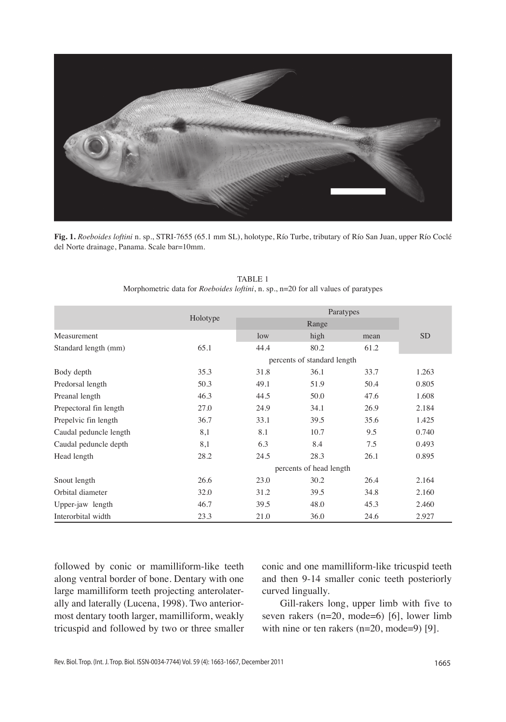

**Fig. 1.** *Roeboides loftini* n. sp., STRI-7655 (65.1 mm SL), holotype, Río Turbe, tributary of Río San Juan, upper Río Coclé del Norte drainage, Panama. Scale bar=10mm.

|                        |                             | Paratypes |      |      |                 |
|------------------------|-----------------------------|-----------|------|------|-----------------|
|                        | Holotype                    | Range     |      |      |                 |
| Measurement            |                             | low       | high | mean | SD <sub>.</sub> |
| Standard length (mm)   | 65.1                        | 44.4      | 80.2 | 61.2 |                 |
|                        | percents of standard length |           |      |      |                 |
| Body depth             | 35.3                        | 31.8      | 36.1 | 33.7 | 1.263           |
| Predorsal length       | 50.3                        | 49.1      | 51.9 | 50.4 | 0.805           |
| Preanal length         | 46.3                        | 44.5      | 50.0 | 47.6 | 1.608           |
| Prepectoral fin length | 27.0                        | 24.9      | 34.1 | 26.9 | 2.184           |
| Prepelvic fin length   | 36.7                        | 33.1      | 39.5 | 35.6 | 1.425           |
| Caudal peduncle length | 8,1                         | 8.1       | 10.7 | 9.5  | 0.740           |
| Caudal peduncle depth  | 8,1                         | 6.3       | 8.4  | 7.5  | 0.493           |
| Head length            | 28.2                        | 24.5      | 28.3 | 26.1 | 0.895           |
|                        | percents of head length     |           |      |      |                 |
| Snout length           | 26.6                        | 23.0      | 30.2 | 26.4 | 2.164           |
| Orbital diameter       | 32.0                        | 31.2      | 39.5 | 34.8 | 2.160           |
| Upper-jaw length       | 46.7                        | 39.5      | 48.0 | 45.3 | 2.460           |
| Interorbital width     | 23.3                        | 21.0      | 36.0 | 24.6 | 2.927           |

TABLE 1 Morphometric data for *Roeboides loftini*, n. sp*.*, n=20 for all values of paratypes

followed by conic or mamilliform-like teeth along ventral border of bone. Dentary with one large mamilliform teeth projecting anterolaterally and laterally (Lucena, 1998). Two anteriormost dentary tooth larger, mamilliform, weakly tricuspid and followed by two or three smaller

conic and one mamilliform-like tricuspid teeth and then 9-14 smaller conic teeth posteriorly curved lingually.

Gill-rakers long, upper limb with five to seven rakers (n=20, mode=6) [6], lower limb with nine or ten rakers (n=20, mode=9) [9].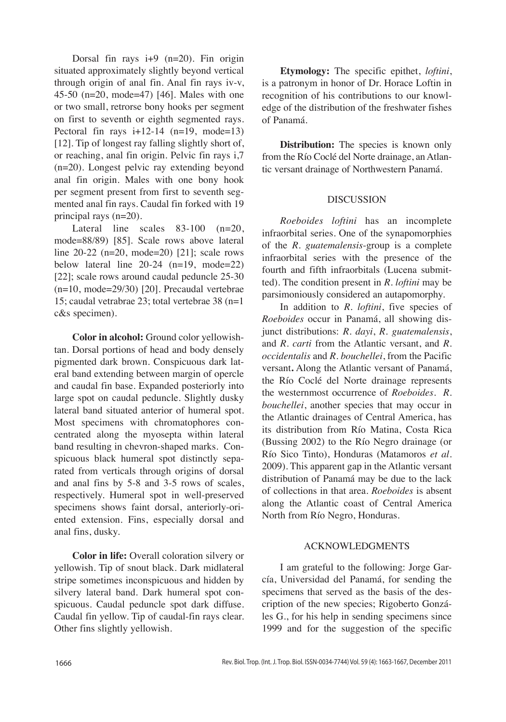Dorsal fin rays i+9 (n=20). Fin origin situated approximately slightly beyond vertical through origin of anal fin. Anal fin rays iv-v, 45-50 (n=20, mode=47) [46]. Males with one or two small, retrorse bony hooks per segment on first to seventh or eighth segmented rays. Pectoral fin rays  $i+12-14$  (n=19, mode=13) [12]. Tip of longest ray falling slightly short of, or reaching, anal fin origin. Pelvic fin rays i,7 (n=20). Longest pelvic ray extending beyond anal fin origin. Males with one bony hook per segment present from first to seventh segmented anal fin rays. Caudal fin forked with 19 principal rays (n=20).

Lateral line scales  $83-100$  (n=20, mode=88/89) [85]. Scale rows above lateral line 20-22 (n=20, mode=20) [21]; scale rows below lateral line  $20-24$  (n=19, mode=22) [22]; scale rows around caudal peduncle 25-30 (n=10, mode=29/30) [20]. Precaudal vertebrae 15; caudal vetrabrae 23; total vertebrae 38 (n=1 c&s specimen).

**Color in alcohol:** Ground color yellowishtan. Dorsal portions of head and body densely pigmented dark brown. Conspicuous dark lateral band extending between margin of opercle and caudal fin base. Expanded posteriorly into large spot on caudal peduncle. Slightly dusky lateral band situated anterior of humeral spot. Most specimens with chromatophores concentrated along the myosepta within lateral band resulting in chevron-shaped marks. Conspicuous black humeral spot distinctly separated from verticals through origins of dorsal and anal fins by 5-8 and 3-5 rows of scales, respectively. Humeral spot in well-preserved specimens shows faint dorsal, anteriorly-oriented extension. Fins, especially dorsal and anal fins, dusky.

**Color in life:** Overall coloration silvery or yellowish. Tip of snout black. Dark midlateral stripe sometimes inconspicuous and hidden by silvery lateral band. Dark humeral spot conspicuous. Caudal peduncle spot dark diffuse. Caudal fin yellow. Tip of caudal-fin rays clear. Other fins slightly yellowish.

**Etymology:** The specific epithet, *loftini*, is a patronym in honor of Dr. Horace Loftin in recognition of his contributions to our knowledge of the distribution of the freshwater fishes of Panamá.

**Distribution:** The species is known only from the Río Coclé del Norte drainage, an Atlantic versant drainage of Northwestern Panamá.

### DISCUSSION

*Roeboides loftini* has an incomplete infraorbital series. One of the synapomorphies of the *R. guatemalensis*-group is a complete infraorbital series with the presence of the fourth and fifth infraorbitals (Lucena submitted). The condition present in *R. loftini* may be parsimoniously considered an autapomorphy.

In addition to *R. loftini*, five species of *Roeboides* occur in Panamá, all showing disjunct distributions: *R. dayi*, *R. guatemalensis*, and *R. carti* from the Atlantic versant, and *R. occidentalis* and *R. bouchellei*, from the Pacific versant**.** Along the Atlantic versant of Panamá, the Río Coclé del Norte drainage represents the westernmost occurrence of *Roeboides*. *R. bouchellei*, another species that may occur in the Atlantic drainages of Central America, has its distribution from Río Matina, Costa Rica (Bussing 2002) to the Río Negro drainage (or Río Sico Tinto), Honduras (Matamoros *et al.* 2009). This apparent gap in the Atlantic versant distribution of Panamá may be due to the lack of collections in that area. *Roeboides* is absent along the Atlantic coast of Central America North from Río Negro, Honduras.

### ACKNOWLEDGMENTS

I am grateful to the following: Jorge García, Universidad del Panamá, for sending the specimens that served as the basis of the description of the new species; Rigoberto Gonzáles G., for his help in sending specimens since 1999 and for the suggestion of the specific